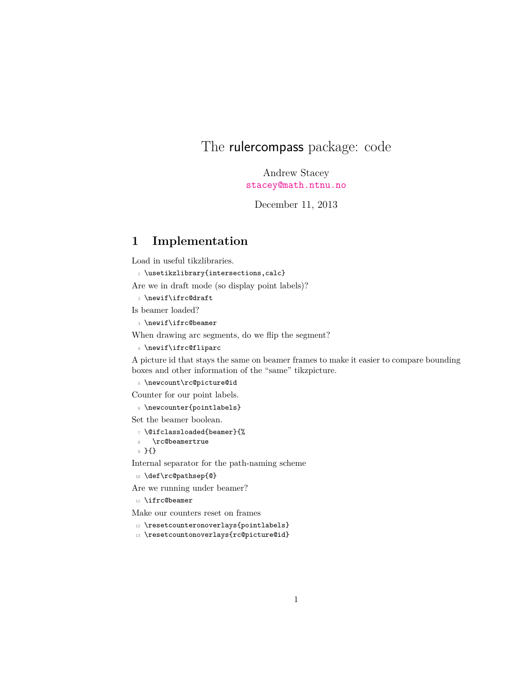## The rulercompass package: code

Andrew Stacey <stacey@math.ntnu.no>

December 11, 2013

## **1 Implementation**

Load in useful tikzlibraries.

```
_1 \usetikzlibrary{intersections,calc}
```
Are we in draft mode (so display point labels)?

- $2$  \newif\ifrc@draft
- Is beamer loaded?
	- <sup>3</sup> \newif\ifrc@beamer

When drawing arc segments, do we flip the segment?

<sup>4</sup> \newif\ifrc@fliparc

A picture id that stays the same on beamer frames to make it easier to compare bounding boxes and other information of the "same" tikzpicture.

<sup>5</sup> \newcount\rc@picture@id

Counter for our point labels.

<sup>6</sup> \newcounter{pointlabels}

Set the beamer boolean.

- <sup>7</sup> \@ifclassloaded{beamer}{%
- 8 \rc@beamertrue

<sup>9</sup> }{}

Internal separator for the path-naming scheme

<sup>10</sup> \def\rc@pathsep{@}

Are we running under beamer?

<sup>11</sup> \ifrc@beamer

Make our counters reset on frames

- <sup>12</sup> \resetcounteronoverlays{pointlabels}
- <sup>13</sup> \resetcountonoverlays{rc@picture@id}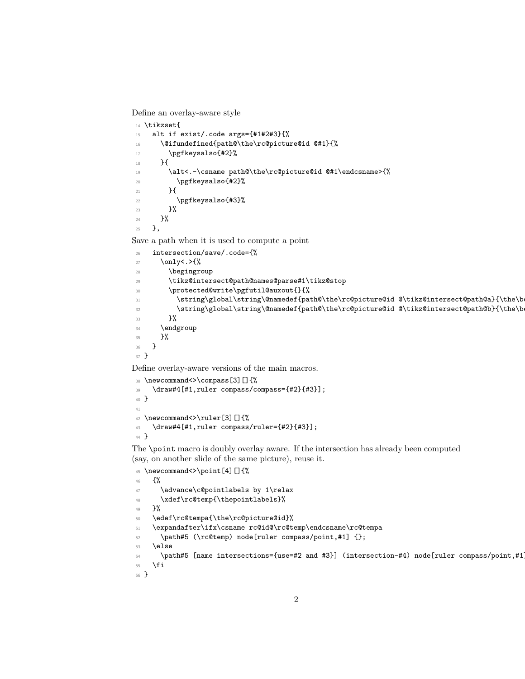Define an overlay-aware style

```
14 \tikzset{
15 alt if exist/.code args={#1#2#3}{%
\verb|16| & \verb|\@ifundefined{path@\the\rcornerc@picture@id @#1}{\%}17 \pgfkeysalso{#2}%
18 }{
19 \alt<.-\csname path@\the\rc@picture@id @#1\endcsname>{%
20 \pgfkeysalso{#2}%
21 }
22 \pgfkeysalso{#3}%
23 \frac{1}{2}24 \, }%
25 },
```
Save a path when it is used to compute a point

<sup>26</sup> intersection/save/.code={%

```
27 \only<.>{%
28 \begingroup
29 \tikz@intersect@path@names@parse#1\tikz@stop
 30 \protected@write\pgfutil@auxout{}{%
31 \string\global\string\@namedef{path@\the\rc@picture@id @\tikz@intersect@path@a}{\the\b
32 \string\global\string\@namedef{path@\the\rc@picture@id @\tikz@intersect@path@b}{\the\b
 33 }%
 34 \endgroup
35 }%
36 }
37 }
Define overlay-aware versions of the main macros.
```

```
38 \newcommand<>\compass[3][]{%
39 \draw#4[#1,ruler compass/compass={#2}{#3}];
40 }
41
42 \newcommand<>\ruler[3][]{%
43 \draw#4[#1,ruler compass/ruler={#2}{#3}];
44 }
```
The \point macro is doubly overlay aware. If the intersection has already been computed (say, on another slide of the same picture), reuse it.

```
45 \newcommand<>\point[4][]{%
46 {%
47 \advance\c@pointlabels by 1\relax
48 \xdef\rc@temp{\thepointlabels}%
49 }%
50 \edef\rc@tempa{\the\rc@picture@id}%
51 \expandafter\ifx\csname rc@id@\rc@temp\endcsname\rc@tempa
52 \path#5 (\rc@temp) node[ruler compass/point,#1] \};
53 \text{ }\theta54 \path#5 [name intersections={use=#2 and #3}] (intersection-#4) node[ruler compass/point,#1
55 \fi
56 }
```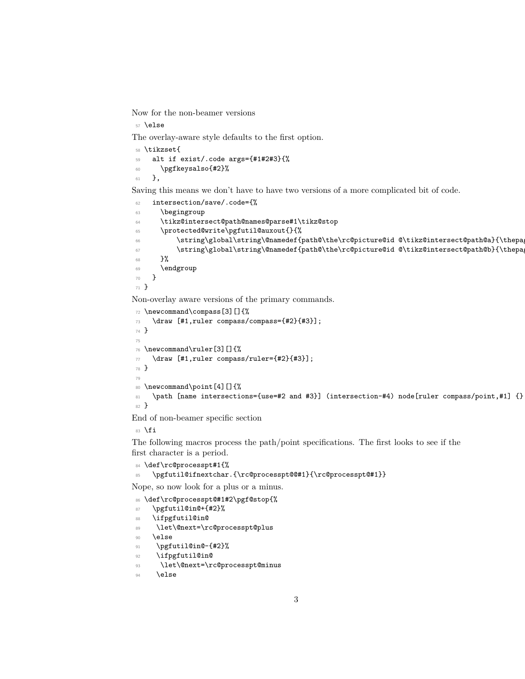Now for the non-beamer versions

\else

The overlay-aware style defaults to the first option.

```
58 \tikzset{
59 alt if exist/.code args={#1#2#3}{%
60 \pgfkeysalso{#2}%
61 },
```
Saving this means we don't have to have two versions of a more complicated bit of code.

```
62 intersection/save/.code={%
63 \begingroup
64 \tikz@intersect@path@names@parse#1\tikz@stop
65 \protected@write\pgfutil@auxout{}{%
\frac{66}{\text{string\gamma}} \string\global\string\@namedef{path@\the\rc@picture@id @\tikz@intersect@path@a}{\thepa
67 \label{thm:1} \label{thm:1} \label{thm:1} \label{thm:1}68 }%
69 \endgroup
70 }
71 }
```
Non-overlay aware versions of the primary commands.

```
72 \newcommand\compass[3][]{%
73 \draw [#1,ruler compass/compass={#2}{#3}];
74 }
75
76 \newcommand\ruler[3][]{%
77 \draw [#1, ruler compass/ruler={#2}{#3}];
78 }
79
80 \newcommand\point[4][]{%
81 \path [name intersections={use=#2 and #3}] (intersection-#4) node[ruler compass/point,#1] {}
82 }
```
End of non-beamer specific section

83 \fi

The following macros process the path/point specifications. The first looks to see if the first character is a period.

```
84 \def\rc@processpt#1{%
```

```
85 \pgfutil@ifnextchar.{\rc@processpt@@#1}{\rc@processpt@#1}}
```
Nope, so now look for a plus or a minus.

```
86 \def\rc@processpt@#1#2\pgf@stop{%
```

```
87 \pgfutil@in@+{#2}%
```
- 88 \ifpgfutil@in@
- 89 \let\@next=\rc@processpt@plus
- \else

```
91 \pgfutil@in@-{#2}%
```
- \ifpgfutil@in@
- \let\@next=\rc@processpt@minus
- **\else**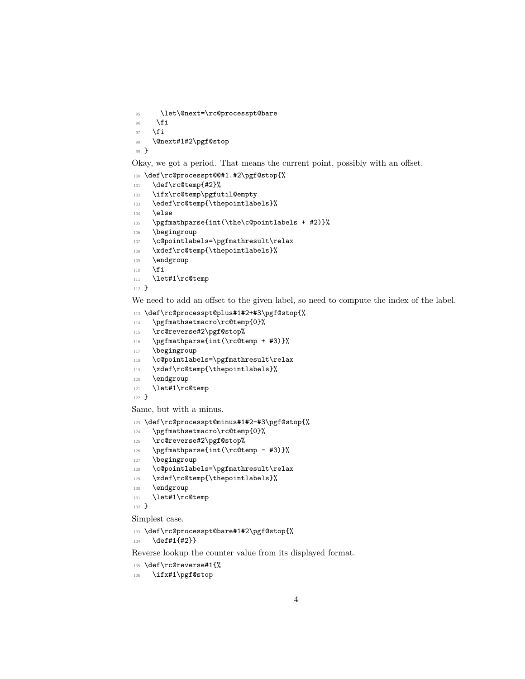```
95 \let\@next=\rc@processpt@bare
```
- $96$  \fi
- $97$  \fi

```
98 \@next#1#2\pgf@stop
```

```
99 }
```
Okay, we got a period. That means the current point, possibly with an offset.

```
100 \def\rc@processpt@@#1.#2\pgf@stop{%
```

```
101 \def\rc@temp{#2}%
```

```
102 \ifx\rc@temp\pgfutil@empty
```

```
103 \edef\rc@temp{\thepointlabels}%
```

```
104 \else
```

```
105 \pgfmathparse{int(\the\c@pointlabels + #2)}%
```

```
106 \begingroup
```

```
107 \c@pointlabels=\pgfmathresult\relax
```

```
108 \xdef\rc@temp{\thepointlabels}%
```

```
109 \endgroup
```

```
110 \fi
```

```
111 \let#1\rc@temp
```

```
112 }
```
We need to add an offset to the given label, so need to compute the index of the label.

```
113 \def\rc@processpt@plus#1#2+#3\pgf@stop{%
```

```
114 \pgfmathsetmacro\rc@temp{0}%
```

```
115 \rc@reverse#2\pgf@stop%
```

```
116 \pgfmathparse{int(\rc@temp + #3)}%
```

```
117 \begingroup
```

```
118 \c@pointlabels=\pgfmathresult\relax
```

```
119 \xdef\rc@temp{\thepointlabels}%
```

```
120 \endgroup
```

```
121 \let#1\rc@temp
```
<sup>122</sup> }

Same, but with a minus.

<sup>123</sup> \def\rc@processpt@minus#1#2-#3\pgf@stop{%

```
124 \pgfmathsetmacro\rc@temp{0}%
```

```
125 \rc@reverse#2\pgf@stop%
```

```
126 \pgfmathparse{int(\rc@temp - #3)}%
```

```
127 \begingroup
```

```
128 \c@pointlabels=\pgfmathresult\relax
```

```
129 \xdef\rc@temp{\thepointlabels}%
```

```
130 \endgroup
```

```
131 \let#1\rc@temp
```

```
132 }
```
Simplest case.

```
133 \def\rc@processpt@bare#1#2\pgf@stop{%
```
 $134$  \def#1{#2}}

Reverse lookup the counter value from its displayed format.

```
135 \def\rc@reverse#1{%
```

```
136 \ifx#1\pgf@stop
```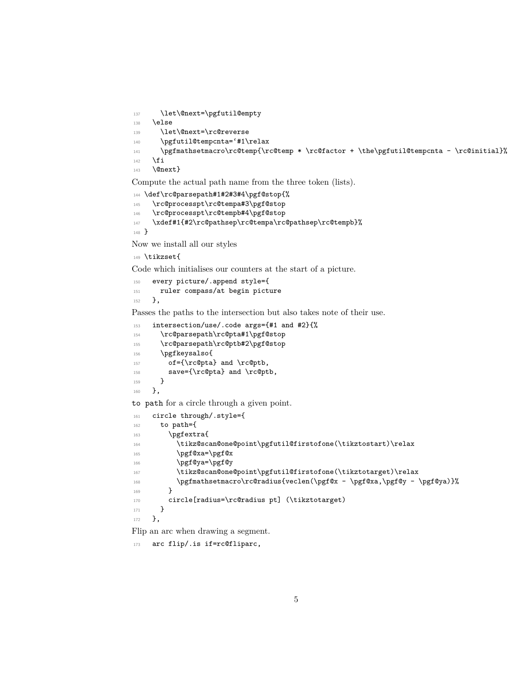```
137 \let\@next=\pgfutil@empty
138 \else
139 \let\@next=\rc@reverse
140 \pgfutil@tempcnta='#1\relax
\label{lem:main} $$\pgfmathsetmacro\rcorner\ref\rC@temp * \rcorner\thinspace * \the\pgfutil@tempcnta - \rcorner\rcorner\thinspace * \thinspace \eqno(1)142 \fi
143 \@next}
```
Compute the actual path name from the three token (lists).

```
144 \def\rc@parsepath#1#2#3#4\pgf@stop{%
145 \rc@processpt\rc@tempa#3\pgf@stop
146 \rc@processpt\rc@tempb#4\pgf@stop
147 \xdef#1{#2\rc@pathsep\rc@tempa\rc@pathsep\rc@tempb}%
148 }
```
Now we install all our styles

```
149 \tikzset{
```
Code which initialises our counters at the start of a picture.

```
150 every picture/.append style={
151 ruler compass/at begin picture
152 },
```
Passes the paths to the intersection but also takes note of their use.

```
153 intersection/use/.code args={#1 and #2}{%
154 \rc@parsepath\rc@pta#1\pgf@stop
155 \rc@parsepath\rc@ptb#2\pgf@stop
156 \pgfkeysalso{
157 of={\rc@pta} and \rc@ptb,
158 save={\rc@pta} and \rc@ptb,
159 }
160 },
```
to path for a circle through a given point.

```
161 circle through/.style={
162 to path={
163 \pgfextra{
164 \tikz@scan@one@point\pgfutil@firstofone(\tikztostart)\relax
165 \pgf@xa=\pgf@x
166 \pgf@ya=\pgf@y
167 \tikz@scan@one@point\pgfutil@firstofone(\tikztotarget)\relax
168 \pgfmathsetmacro\rc@radius{veclen(\pgf@x - \pgf@xa,\pgf@y - \pgf@ya)}%
169 }
170 circle[radius=\rc@radius pt] (\tikztotarget)
171 }
172 },
```
Flip an arc when drawing a segment.

173 arc flip/.is if=rc@fliparc,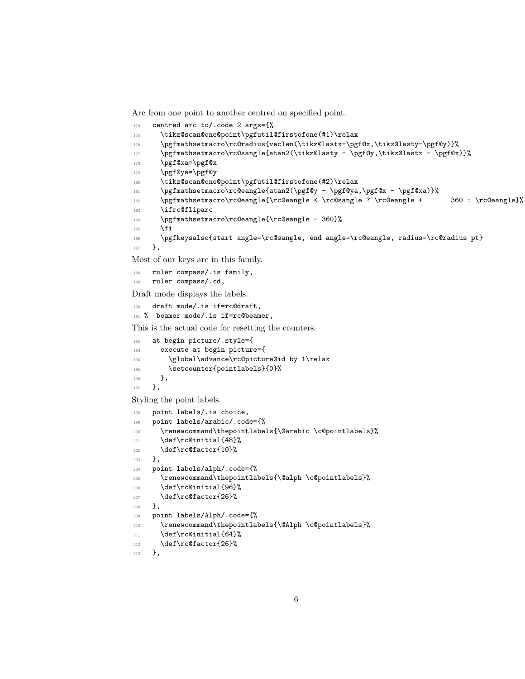Arc from one point to another centred on specified point.

```
174 centred arc to/.code 2 args={%
175 \tikz@scan@one@point\pgfutil@firstofone(#1)\relax
176 \pgfmathsetmacro\rc@radius{veclen(\tikz@lastx-\pgf@x,\tikz@lasty-\pgf@y)}%
177 \pgfmathsetmacro\rc@sangle{atan2(\tikz@lasty - \pgf@y,\tikz@lastx - \pgf@x)}%
178 \pgf@xa=\pgf@x
179 \pgf@ya=\pgf@y
180 \tikz@scan@one@point\pgfutil@firstofone(#2)\relax
181 \pgfmathsetmacro\rc@eangle{atan2(\pgf@y - \pgf@ya,\pgf@x - \pgf@xa)}%
182 \pgfmathsetmacro\rc@eangle{\rc@eangle < \rc@sangle ? \rc@eangle + 360 : \rc@eangle}%
183 \ifrc@fliparc
184 \pgfmathsetmacro\rc@eangle{\rc@eangle - 360}%
185 \fi
186 \pgfkeysalso{start angle=\rc@sangle, end angle=\rc@eangle, radius=\rc@radius pt}
187 },
```
Most of our keys are in this family.

```
188 ruler compass/.is family,
189 ruler compass/.cd,
```
Draft mode displays the labels.

```
190 draft mode/.is if=rc@draft,
191 % beamer mode/.is if=rc@beamer,
```
This is the actual code for resetting the counters.

```
192 at begin picture/.style={
193 execute at begin picture={
194 \global\advance\rc@picture@id by 1\relax
195 \setcounter{pointlabels}{0}%
196 },
197 },
```
Styling the point labels.

```
198 point labels/.is choice,
199 point labels/arabic/.code={%
200 \renewcommand\thepointlabels{\@arabic \c@pointlabels}%
201 \def\rc@initial{48}%
202 \def\rc@factor{10}%
203 },
204 point labels/alph/.code={%
205 \renewcommand\thepointlabels{\@alph \c@pointlabels}%
206 \def\rc@initial{96}%
207 \def\rc@factor{26}%
208 },
209 point labels/Alph/.code={%
210 \renewcommand\thepointlabels{\@Alph \c@pointlabels}%
_{211} \def\rc@initial{64}%
212 \def\rc@factor{26}%
213 },
```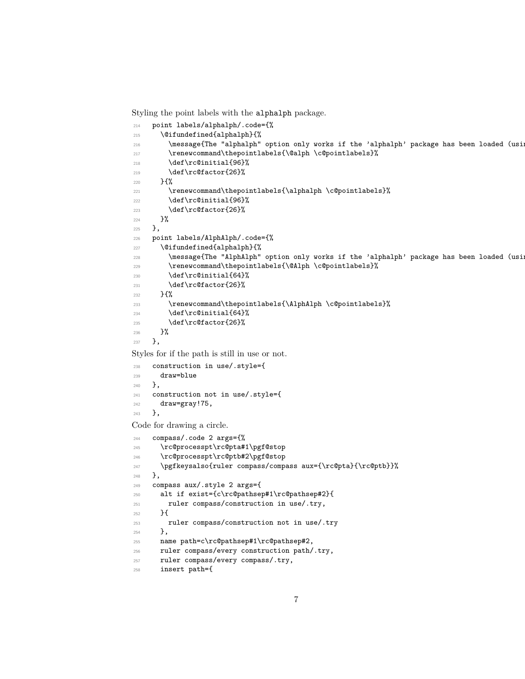Styling the point labels with the alphalph package.

```
214 point labels/alphalph/.code={%
215 \@ifundefined{alphalph}{%
216 \message{The "alphalph" option only works if the 'alphalph' package has been loaded (using
217 \renewcommand\thepointlabels{\@alph \c@pointlabels}%
218 \def\rc@initial{96}%
219 \det\{rcfactor\{26\}\}\220 \, \mathsf{H} \mathsf{V}221 \renewcommand\thepointlabels{\alphalph \c@pointlabels}%
222 \def\rc@initial{96}%
223 \det\{r \cdot 26\}224 }%
225 },
226 point labels/AlphAlph/.code={%
227 \@ifundefined{alphalph}{%
228 \message{The "AlphAlph" option only works if the 'alphalph' package has been loaded (using
229 \renewcommand\thepointlabels{\@Alph \c@pointlabels}%
230 \def\rc@initial{64}%
231 \def\rc@factor{26}%
232 }{%
233 \renewcommand\thepointlabels{\AlphAlph \c@pointlabels}%
234 \def\rc@initial{64}%
235 \delta \text{rcfactor} {26}%
236 }%
237 },
```
Styles for if the path is still in use or not.

```
238 construction in use/.style={
239 draw=blue
240 },
241 construction not in use/.style={
242 draw=gray!75,
243 },
```
Code for drawing a circle.

```
244 compass/.code 2 args={%
245 \rc@processpt\rc@pta#1\pgf@stop
246 \rc@processpt\rc@ptb#2\pgf@stop
247 \pgfkeysalso{ruler compass/compass aux={\rc@pta}{\rc@ptb}}%
248 },
249 compass aux/.style 2 args={
250 alt if exist={c\rc@pathsep#1\rc@pathsep#2}{
251 ruler compass/construction in use/.try,
252 }{
253 ruler compass/construction not in use/.try
254 },
255 name path=c\rc@pathsep#1\rc@pathsep#2,
256 ruler compass/every construction path/.try,
257 ruler compass/every compass/.try,
258 insert path={
```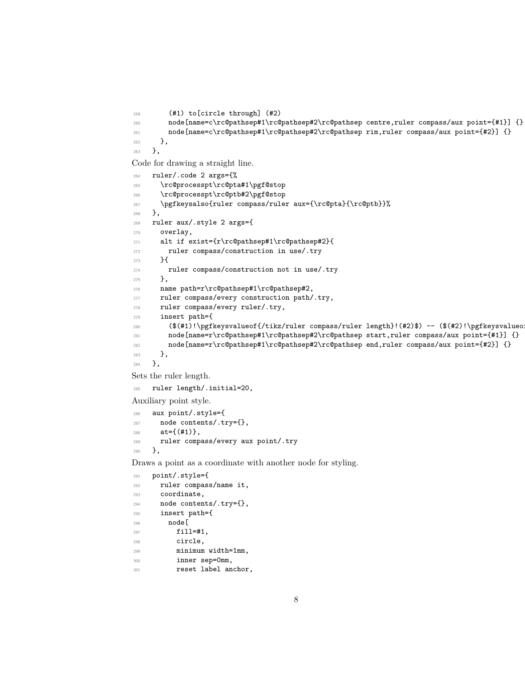```
259 (#1) to[circle through] (#2)
260 node[name=c\rc@pathsep#1\rc@pathsep#2\rc@pathsep centre,ruler compass/aux point={#1}] {}
261 node[name=c\rc@pathsep#1\rc@pathsep#2\rc@pathsep rim,ruler compass/aux point={#2}] {}
<sup>262</sup> },
263 },
```
Code for drawing a straight line.

```
264 ruler/.code 2 args={%
265 \rc@processpt\rc@pta#1\pgf@stop
266 \rc@processpt\rc@ptb#2\pgf@stop
267 \pgfkeysalso{ruler compass/ruler aux={\rc@pta}{\rc@ptb}}%
268 },
269 ruler aux/.style 2 args={
270 overlay,
271 alt if exist={r\rc@pathsep#1\rc@pathsep#2}{
272 ruler compass/construction in use/.try
273 }{
274 ruler compass/construction not in use/.try
275 },
276 name path=r\rc@pathsep#1\rc@pathsep#2,
277 ruler compass/every construction path/.try,
278 ruler compass/every ruler/.try,
279 insert path={
280 ($(#1)!\pgfkeysvalueof{/tikz/ruler compass/ruler length}!(#2)$) -- ($(#2)!\pgfkeysvalueof{/tikz/ruler compass/ruler length}!(#1)$)
281 node[name=r\rc@pathsep#1\rc@pathsep#2\rc@pathsep start,ruler compass/aux point={#1}] {}
282 node[name=r\rc@pathsep#1\rc@pathsep#2\rc@pathsep end,ruler compass/aux point={#2}] {}
283 },
284 },
```
Sets the ruler length.

ruler length/.initial=20,

Auxiliary point style.

```
286 aux point/.style={
287 node contents/.try={},
288 at={(#1)},
289 ruler compass/every aux point/.try
290 },
```
Draws a point as a coordinate with another node for styling.

```
291 point/.style={
292 ruler compass/name it,
293 coordinate,
294 node contents/.try={},
295 insert path={
296 node[
297 fill=#1,
298 circle,
299 minimum width=1mm,
300 inner sep=0mm,
301 reset label anchor,
```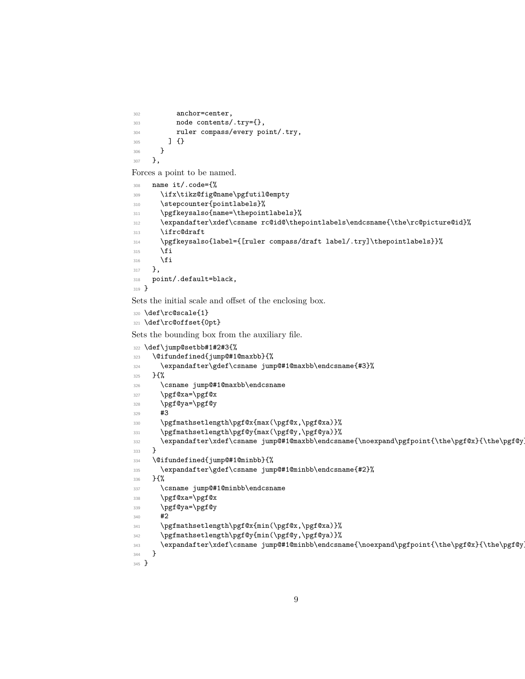```
302 anchor=center,
303 node contents/.try={},
304 ruler compass/every point/.try,
305 ] {}
306 }
307 },
```
Forces a point to be named.

```
308 name it/.code={%
309 \ifx\tikz@fig@name\pgfutil@empty
310 \stepcounter{pointlabels}%
311 \pgfkeysalso{name=\thepointlabels}%
312 \expandafter\xdef\csname rc@id@\thepointlabels\endcsname{\the\rc@picture@id}%
313 \ifrc@draft
314 \pgfkeysalso{label={[ruler compass/draft label/.try]\thepointlabels}}%
315 \fi
316 \fi
317 },
318 point/.default=black,
319 }
```
Sets the initial scale and offset of the enclosing box.

```
320 \def\rc@scale{1}
321 \def\rc@offset{0pt}
```
Sets the bounding box from the auxiliary file.

```
322 \def\jump@setbb#1#2#3{%
323 \@ifundefined{jump@#1@maxbb}{%
324 \expandafter\gdef\csname jump@#1@maxbb\endcsname{#3}%
325 }\frac{1}{2}326 \csname jump@#1@maxbb\endcsname
327 \pgf@xa=\pgf@x
328 \pgf@ya=\pgf@y
329 \frac{43}{3}330 \pgfmathsetlength\pgf@x{max(\pgf@x,\pgf@xa)}%
331 \pgfmathsetlength\pgf@y{max(\pgf@y,\pgf@ya)}%
332 \expandafter\xdef\csname jump@#1@maxbb\endcsname{\noexpand\pgfpoint{\the\pgf@x}{\the\pgf@y}}%
333 }
334 \@ifundefined{jump@#1@minbb}{%
335 \expandafter\gdef\csname jump@#1@minbb\endcsname{#2}%
336 }{%
337 \csname jump@#1@minbb\endcsname
338 \pgf@xa=\pgf@x
339 \pgf@ya=\pgf@y
340 #2
341 \pgfmathsetlength\pgf@x{min(\pgf@x,\pgf@xa)}%
342 \pgfmathsetlength\pgf@y{min(\pgf@y,\pgf@ya)}%
343 \expandafter\xdef\csname jump@#1@minbb\endcsname{\noexpand\pgfpoint{\the\pgf@x}{\the\pgf@y}}%
344 }
345 }
```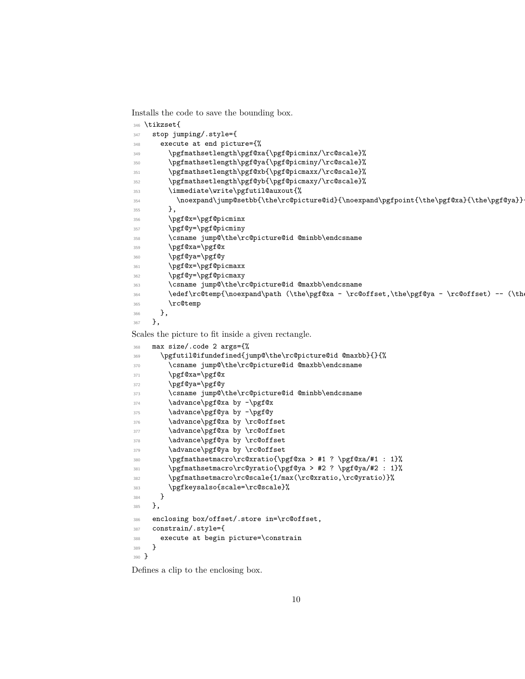Installs the code to save the bounding box.

```
346 \tikzset{
347 stop jumping/.style={
348 execute at end picture={%
349 \pgfmathsetlength\pgf@xa{\pgf@picminx/\rc@scale}%
350 \pgfmathsetlength\pgf@ya{\pgf@picminy/\rc@scale}%
351 \pgfmathsetlength\pgf@xb{\pgf@picmaxx/\rc@scale}%
352 \pgfmathsetlength\pgf@yb{\pgf@picmaxy/\rc@scale}%
353 \immediate\write\pgfutil@auxout{%
\lambda154 \noexpand\jump@setbb{\the\rc@picture@id}{\noexpand\pgfpoint{\the\pgf@xa}{\the\pgf@ya}}
355 },
356 \pgf@x=\pgf@picminx
357 \pgf@y=\pgf@picminy
358 \csname jump@\the\rc@picture@id @minbb\endcsname
359 \pgf@xa=\pgf@x
360 \pgf@ya=\pgf@y
361 \pgf@x=\pgf@picmaxx
362 \pgf@y=\pgf@picmaxy
363 \csname jump@\the\rc@picture@id @maxbb\endcsname
364 \edef\rc@temp{\noexpand\path (\the\pgf@xa - \rc@offset,\the\pgf@ya - \rc@offset) -- (\th
365 \rc@temp
366 },
367 },
Scales the picture to fit inside a given rectangle.
368 max size/.code 2 args={%
369 \pgfutil@ifundefined{jump@\the\rc@picture@id @maxbb}{}{%
370 \csname jump@\the\rc@picture@id @maxbb\endcsname
371 \pgf@xa=\pgf@x
372 \pgf@ya=\pgf@y
373 \csname jump@\the\rc@picture@id @minbb\endcsname
374 \advance\pgf@xa by -\pgf@x
375 \advance\pgf@ya by -\pgf@y
376 \advance\pgf@xa by \rc@offset
377 \advance\pgf@xa by \rc@offset
378 \advance\pgf@ya by \rc@offset
379 \advance\pgf@ya by \rc@offset
380 \pgfmathsetmacro\rc@xratio{\pgf@xa > #1 ? \pgf@xa/#1 : 1}%
381 \pgfmathsetmacro\rc@yratio{\pgf@ya > #2 ? \pgf@ya/#2 : 1}%
382 \pgfmathsetmacro\rc@scale{1/max(\rc@xratio,\rc@yratio)}%
383 \pgfkeysalso{scale=\rc@scale}%
384 }
385 },
```

```
386 enclosing box/offset/.store in=\rc@offset,
387 constrain/.style={
388 execute at begin picture=\constrain
389 }
```
<sup>390</sup> }

Defines a clip to the enclosing box.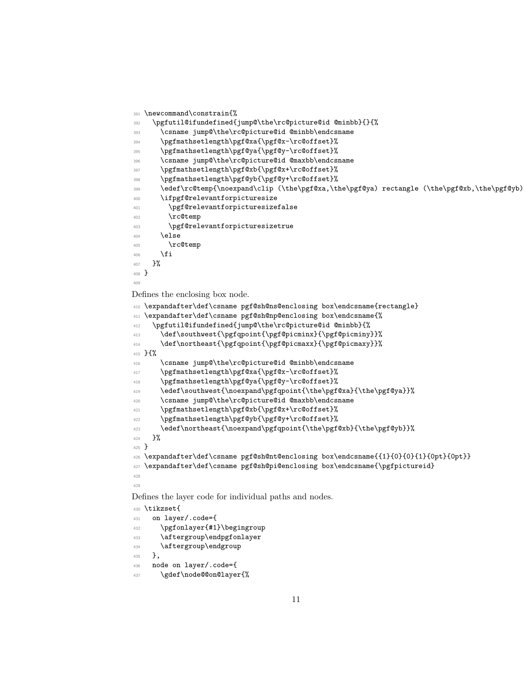```
391 \newcommand\constrain{%
392 \pgfutil@ifundefined{jump@\the\rc@picture@id @minbb}{}{%
393 \csname jump@\the\rc@picture@id @minbb\endcsname
394 \pgfmathsetlength\pgf@xa{\pgf@x-\rc@offset}%
395 \pgfmathsetlength\pgf@ya{\pgf@y-\rc@offset}%
396 \csname jump@\the\rc@picture@id @maxbb\endcsname
397 \pgfmathsetlength\pgf@xb{\pgf@x+\rc@offset}%
398 \pgfmathsetlength\pgf@yb{\pgf@y+\rc@offset}%
399 \edef\rc@temp{\noexpand\clip (\the\pgf@xa,\the\pgf@ya) rectangle (\the\pgf@xb,\the\pgf@yb);}
400 \ifpgf@relevantforpicturesize
401 \pgf@relevantforpicturesizefalse
402 \rc@temp
403 \pgf@relevantforpicturesizetrue
404 \else
405 \rc@temp
406 \qquad \qquad \sqrt{f}i407 }%
408 }
409
```
Defines the enclosing box node.

```
410 \expandafter\def\csname pgf@sh@ns@enclosing box\endcsname{rectangle}
411 \expandafter\def\csname pgf@sh@np@enclosing box\endcsname{%
412 \pgfutil@ifundefined{jump@\the\rc@picture@id @minbb}{%
413 \def\southwest{\pgfqpoint{\pgf@picminx}{\pgf@picminy}}%
414 \def\northeast{\pgfqpoint{\pgf@picmaxx}{\pgf@picmaxy}}%
415 }{%
416 \csname jump@\the\rc@picture@id @minbb\endcsname
417 \pgfmathsetlength\pgf@xa{\pgf@x-\rc@offset}%
418 \pgfmathsetlength\pgf@ya{\pgf@y-\rc@offset}%
419 \edef\southwest{\noexpand\pgfqpoint{\the\pgf@xa}{\the\pgf@ya}}%
420 \csname jump@\the\rc@picture@id @maxbb\endcsname
421 \pgfmathsetlength\pgf@xb{\pgf@x+\rc@offset}%
422 \pgfmathsetlength\pgf@yb{\pgf@y+\rc@offset}%
423<br/>\label{thm:main} $$ \edef\northesst{\noexpand\pgfgpoint{\the\pgf@xb}={\the\pgf@yb}}\424 }%
425 }
426 \expandafter\def\csname pgf@sh@nt@enclosing box\endcsname{{1}{0}{0}{1}{0pt}{0pt}}
427 \expandafter\def\csname pgf@sh@pi@enclosing box\endcsname{\pgfpictureid}
428
429
Defines the layer code for individual paths and nodes.
430 \tikzset{
```

```
431 on layer/.code={
432 \pgfonlayer{#1}\begingroup
433 \aftergroup\endpgfonlayer
434 \aftergroup\endgroup
435 },
436 node on layer/.code={
437 \gdef\node@@on@layer{%
```